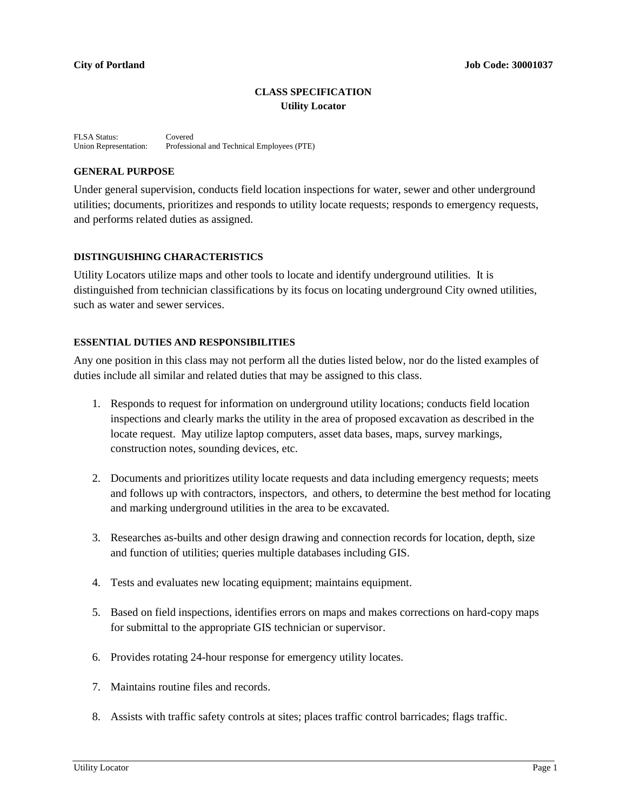## **CLASS SPECIFICATION Utility Locator**

FLSA Status: Covered<br>Union Representation: Professie Professional and Technical Employees (PTE)

## **GENERAL PURPOSE**

Under general supervision, conducts field location inspections for water, sewer and other underground utilities; documents, prioritizes and responds to utility locate requests; responds to emergency requests, and performs related duties as assigned.

### **DISTINGUISHING CHARACTERISTICS**

Utility Locators utilize maps and other tools to locate and identify underground utilities. It is distinguished from technician classifications by its focus on locating underground City owned utilities, such as water and sewer services.

#### **ESSENTIAL DUTIES AND RESPONSIBILITIES**

Any one position in this class may not perform all the duties listed below, nor do the listed examples of duties include all similar and related duties that may be assigned to this class.

- 1. Responds to request for information on underground utility locations; conducts field location inspections and clearly marks the utility in the area of proposed excavation as described in the locate request. May utilize laptop computers, asset data bases, maps, survey markings, construction notes, sounding devices, etc.
- 2. Documents and prioritizes utility locate requests and data including emergency requests; meets and follows up with contractors, inspectors, and others, to determine the best method for locating and marking underground utilities in the area to be excavated.
- 3. Researches as-builts and other design drawing and connection records for location, depth, size and function of utilities; queries multiple databases including GIS.
- 4. Tests and evaluates new locating equipment; maintains equipment.
- 5. Based on field inspections, identifies errors on maps and makes corrections on hard-copy maps for submittal to the appropriate GIS technician or supervisor.
- 6. Provides rotating 24-hour response for emergency utility locates.
- 7. Maintains routine files and records.
- 8. Assists with traffic safety controls at sites; places traffic control barricades; flags traffic.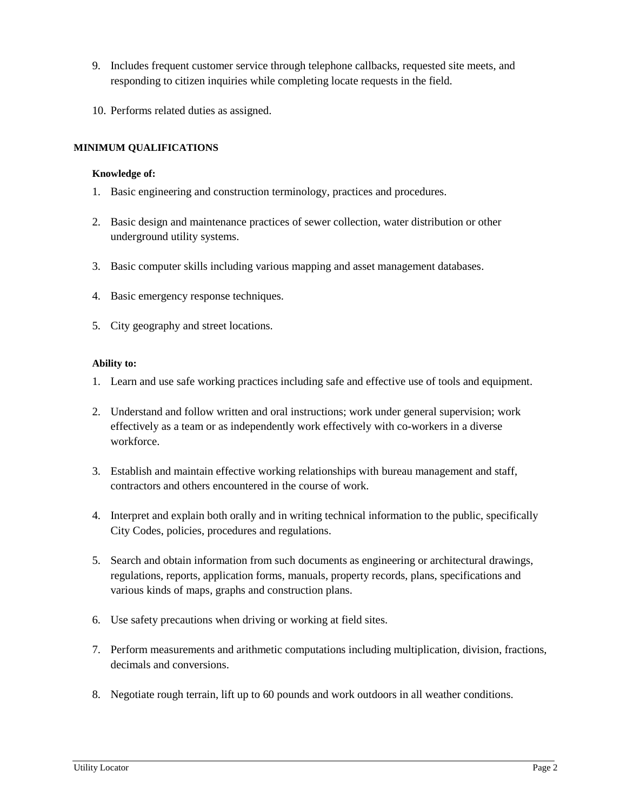- 9. Includes frequent customer service through telephone callbacks, requested site meets, and responding to citizen inquiries while completing locate requests in the field.
- 10. Performs related duties as assigned.

## **MINIMUM QUALIFICATIONS**

#### **Knowledge of:**

- 1. Basic engineering and construction terminology, practices and procedures.
- 2. Basic design and maintenance practices of sewer collection, water distribution or other underground utility systems.
- 3. Basic computer skills including various mapping and asset management databases.
- 4. Basic emergency response techniques.
- 5. City geography and street locations.

### **Ability to:**

- 1. Learn and use safe working practices including safe and effective use of tools and equipment.
- 2. Understand and follow written and oral instructions; work under general supervision; work effectively as a team or as independently work effectively with co-workers in a diverse workforce.
- 3. Establish and maintain effective working relationships with bureau management and staff, contractors and others encountered in the course of work.
- 4. Interpret and explain both orally and in writing technical information to the public, specifically City Codes, policies, procedures and regulations.
- 5. Search and obtain information from such documents as engineering or architectural drawings, regulations, reports, application forms, manuals, property records, plans, specifications and various kinds of maps, graphs and construction plans.
- 6. Use safety precautions when driving or working at field sites.
- 7. Perform measurements and arithmetic computations including multiplication, division, fractions, decimals and conversions.
- 8. Negotiate rough terrain, lift up to 60 pounds and work outdoors in all weather conditions.